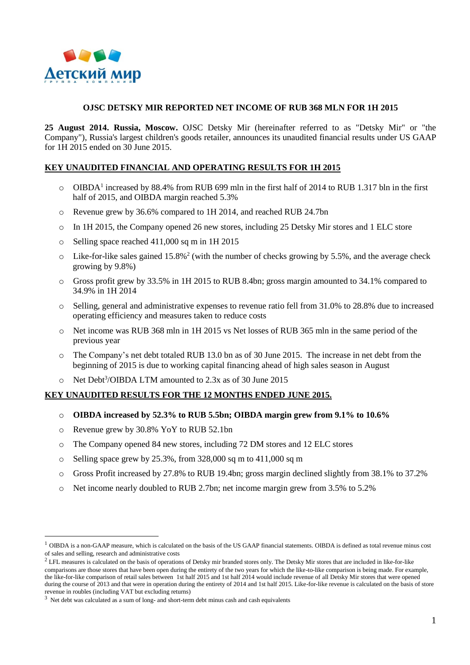

### **OJSC DETSKY MIR REPORTED NET INCOME OF RUB 368 MLN FOR 1H 2015**

**25 August 2014. Russia, Moscow.** OJSC Detsky Mir (hereinafter referred to as "Detsky Mir" or "the Company"), Russia's largest children's goods retailer, announces its unaudited financial results under US GAAP for 1H 2015 ended on 30 June 2015.

### **KEY UNAUDITED FINANCIAL AND OPERATING RESULTS FOR 1H 2015**

- o OIBDA<sup>1</sup> increased by 88.4% from RUB 699 mln in the first half of 2014 to RUB 1.317 bln in the first half of 2015, and OIBDA margin reached 5.3%
- o Revenue grew by 36.6% compared to 1H 2014, and reached RUB 24.7bn
- o In 1H 2015, the Company opened 26 new stores, including 25 Detsky Mir stores and 1 ELC store
- o Selling space reached 411,000 sq m in 1H 2015
- $\circ$  Like-for-like sales gained 15.8%<sup>2</sup> (with the number of checks growing by 5.5%, and the average check growing by 9.8%)
- o Gross profit grew by 33.5% in 1H 2015 to RUB 8.4bn; gross margin amounted to 34.1% compared to 34.9% in 1H 2014
- o Selling, general and administrative expenses to revenue ratio fell from 31.0% to 28.8% due to increased operating efficiency and measures taken to reduce costs
- o Net income was RUB 368 mln in 1H 2015 vs Net losses of RUB 365 mln in the same period of the previous year
- o The Company's net debt totaled RUB 13.0 bn as of 30 June 2015. The increase in net debt from the beginning of 2015 is due to working capital financing ahead of high sales season in August
- o Net Debt<sup>3</sup>/OIBDA LTM amounted to 2.3x as of 30 June 2015

# **KEY UNAUDITED RESULTS FOR THE 12 MONTHS ENDED JUNE 2015.**

- o **OIBDA increased by 52.3% to RUB 5.5bn; OIBDA margin grew from 9.1% to 10.6%**
- o Revenue grew by 30.8% YoY to RUB 52.1bn

1

- o The Company opened 84 new stores, including 72 DM stores and 12 ELC stores
- o Selling space grew by 25.3%, from 328,000 sq m to 411,000 sq m
- o Gross Profit increased by 27.8% to RUB 19.4bn; gross margin declined slightly from 38.1% to 37.2%
- o Net income nearly doubled to RUB 2.7bn; net income margin grew from 3.5% to 5.2%

 $<sup>1</sup>$  OIBDA is a non-GAAP measure, which is calculated on the basis of the US GAAP financial statements. OIBDA is defined as total revenue minus cost</sup> of sales and selling, research and administrative costs

 $2$  LFL measures is calculated on the basis of operations of Detsky mir branded stores only. The Detsky Mir stores that are included in like-for-like comparisons are those stores that have been open during the entirety of the two years for which the like-to-like comparison is being made. For example, the like-for-like comparison of retail sales between 1st half 2015 and 1st half 2014 would include revenue of all Detsky Mir stores that were opened during the course of 2013 and that were in operation during the entirety of 2014 and 1st half 2015. Like-for-like revenue is calculated on the basis of store revenue in roubles (including VAT but excluding returns)

<sup>&</sup>lt;sup>3</sup> Net debt was calculated as a sum of long- and short-term debt minus cash and cash equivalents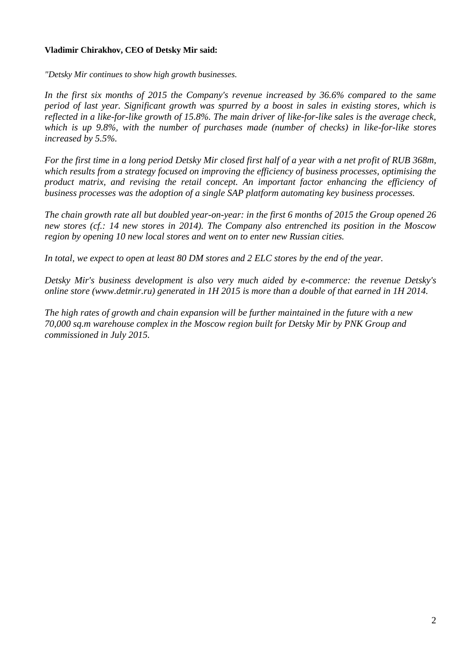## **Vladimir Chirakhov, CEO of Detsky Mir said:**

*"Detsky Mir continues to show high growth businesses.*

*In the first six months of 2015 the Company's revenue increased by 36.6% compared to the same period of last year. Significant growth was spurred by a boost in sales in existing stores, which is reflected in a like-for-like growth of 15.8%. The main driver of like-for-like sales is the average check, which is up 9.8%, with the number of purchases made (number of checks) in like-for-like stores increased by 5.5%.*

*For the first time in a long period Detsky Mir closed first half of a year with a net profit of RUB 368m, which results from a strategy focused on improving the efficiency of business processes, optimising the product matrix, and revising the retail concept. An important factor enhancing the efficiency of business processes was the adoption of a single SAP platform automating key business processes.*

*The chain growth rate all but doubled year-on-year: in the first 6 months of 2015 the Group opened 26 new stores (cf.: 14 new stores in 2014). The Company also entrenched its position in the Moscow region by opening 10 new local stores and went on to enter new Russian cities.* 

*In total, we expect to open at least 80 DM stores and 2 ELC stores by the end of the year.*

*Detsky Mir's business development is also very much aided by e-commerce: the revenue Detsky's online store (www.detmir.ru) generated in 1H 2015 is more than a double of that earned in 1H 2014.* 

*The high rates of growth and chain expansion will be further maintained in the future with a new 70,000 sq.m warehouse complex in the Moscow region built for Detsky Mir by PNK Group and commissioned in July 2015.*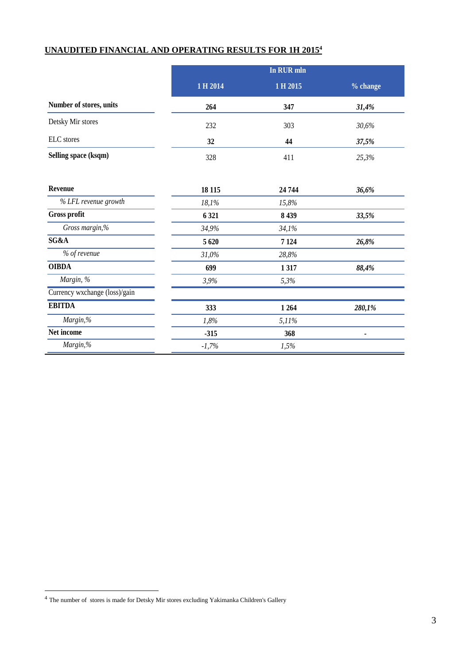# **UNAUDITED FINANCIAL AND OPERATING RESULTS FOR 1H 2015<sup>4</sup>**

|                               | In RUR mln |          |          |
|-------------------------------|------------|----------|----------|
|                               | 1 H 2014   | 1 H 2015 | % change |
| Number of stores, units       | 264        | 347      | 31,4%    |
| Detsky Mir stores             | 232        | 303      | 30,6%    |
| ELC stores                    | 32         | 44       | 37,5%    |
| Selling space (ksqm)          | 328        | 411      | 25,3%    |
| Revenue                       | 18 115     | 24 744   | 36,6%    |
| % LFL revenue growth          | 18,1%      | 15,8%    |          |
| Gross profit                  | 6 3 21     | 8 4 3 9  | 33,5%    |
| Gross margin,%                | 34,9%      | 34,1%    |          |
| SG&A                          | 5 6 20     | 7 1 24   | 26,8%    |
| % of revenue                  | 31,0%      | 28,8%    |          |
| <b>OIBDA</b>                  | 699        | 1317     | 88,4%    |
| Margin, %                     | 3,9%       | 5,3%     |          |
| Currency wxchange (loss)/gain |            |          |          |
| <b>EBITDA</b>                 | 333        | 1 2 6 4  | 280,1%   |
| Margin,%                      | 1,8%       | 5,11%    |          |
| Net income                    | $-315$     | 368      |          |
| Margin,%                      | $-1,7%$    | 1,5%     |          |

1

<sup>4</sup> The number of stores is made for Detsky Mir stores excluding Yakimanka Children's Gallery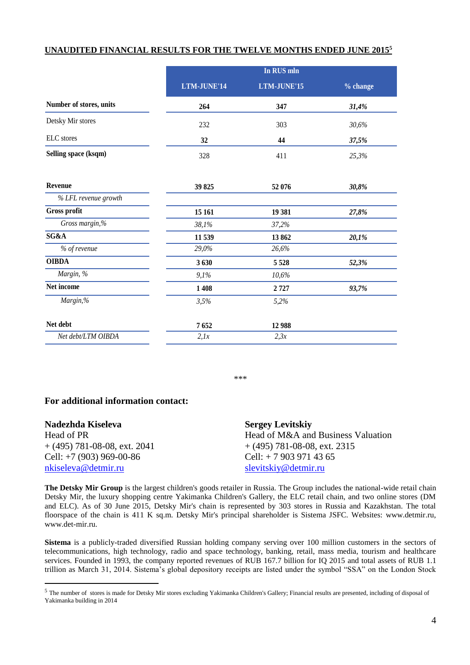### **UNAUDITED FINANCIAL RESULTS FOR THE TWELVE MONTHS ENDED JUNE 2015<sup>5</sup>**

|                         | In RUS mln  |             |          |
|-------------------------|-------------|-------------|----------|
|                         | LTM-JUNE'14 | LTM-JUNE'15 | % change |
| Number of stores, units | 264         | 347         | 31,4%    |
| Detsky Mir stores       | 232         | 303         | 30,6%    |
| ELC stores              | 32          | 44          | 37,5%    |
| Selling space (ksqm)    | 328         | 411         | 25,3%    |
| Revenue                 | 39 825      | 52 076      | 30,8%    |
| % LFL revenue growth    |             |             |          |
| Gross profit            | 15 16 1     | 19 381      | 27,8%    |
| Gross margin,%          | 38,1%       | 37,2%       |          |
| SG&A                    | 11 539      | 13862       | 20,1%    |
| % of revenue            | 29,0%       | 26,6%       |          |
| <b>OIBDA</b>            | 3630        | 5 5 2 8     | 52,3%    |
| Margin, %               | 9,1%        | 10,6%       |          |
| Net income              | 1 4 0 8     | 2727        | 93,7%    |
| Margin,%                | 3,5%        | 5,2%        |          |
| Net debt                | 7652        | 12 988      |          |

*Net debt/LTM OIBDA 2,1x 2,3x*

\*\*\*

# **For additional information contact:**

1

| Nadezhda Kiseleva              | <b>Sergey Levitskiy</b>            |
|--------------------------------|------------------------------------|
| Head of PR                     | Head of M&A and Business Valuation |
| $+$ (495) 781-08-08, ext. 2041 | $+(495)$ 781-08-08, ext. 2315      |
| Cell: $+7(903)969-00-86$       | Cell: $+ 79039714365$              |
| nkiseleva@detmir.ru            | slevitskiy@detmir.ru               |

**The Detsky Mir Group** is the largest children's goods retailer in Russia. The Group includes the national-wide retail chain Detsky Mir, the luxury shopping centre Yakimanka Children's Gallery, the ELC retail chain, and two online stores (DM and ELC). As of 30 June 2015, Detsky Mir's chain is represented by 303 stores in Russia and Kazakhstan. The total floorspace of the chain is 411 K sq.m. Detsky Mir's principal shareholder is Sistema JSFC. Websites: www.detmir.ru, www.det-mir.ru.

**Sistema** is a publicly-traded diversified Russian holding company serving over 100 million customers in the sectors of telecommunications, high technology, radio and space technology, banking, retail, mass media, tourism and healthcare services. Founded in 1993, the company reported revenues of RUB 167.7 billion for IQ 2015 and total assets of RUB 1.1 trillion as March 31, 2014. Sistema's global depository receipts are listed under the symbol "SSA" on the London Stock

<sup>5</sup> The number of stores is made for Detsky Mir stores excluding Yakimanka Children's Gallery; Financial results are presented, including of disposal of Yakimanka building in 2014